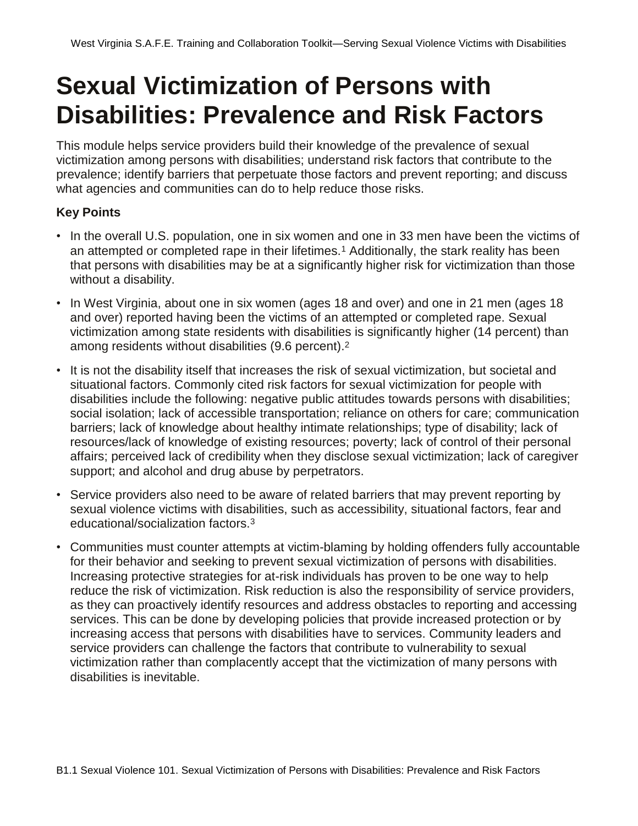# **Sexual Victimization of Persons with Disabilities: Prevalence and Risk Factors**

This module helps service providers build their knowledge of the prevalence of sexual victimization among persons with disabilities; understand risk factors that contribute to the prevalence; identify barriers that perpetuate those factors and prevent reporting; and discuss what agencies and communities can do to help reduce those risks.

#### **Key Points**

- In the overall U.S. population, one in six women and one in 33 men have been the victims of an attempted or completed rape in their lifetimes.<sup>1</sup> Additionally, the stark reality has been that persons with disabilities may be at a significantly higher risk for victimization than those without a disability.
- In West Virginia, about one in six women (ages 18 and over) and one in 21 men (ages 18 and over) reported having been the victims of an attempted or completed rape. Sexual victimization among state residents with disabilities is significantly higher (14 percent) than among residents without disabilities (9.6 percent).<sup>2</sup>
- It is not the disability itself that increases the risk of sexual victimization, but societal and situational factors. Commonly cited risk factors for sexual victimization for people with disabilities include the following: negative public attitudes towards persons with disabilities; social isolation; lack of accessible transportation; reliance on others for care; communication barriers; lack of knowledge about healthy intimate relationships; type of disability; lack of resources/lack of knowledge of existing resources; poverty; lack of control of their personal affairs; perceived lack of credibility when they disclose sexual victimization; lack of caregiver support; and alcohol and drug abuse by perpetrators.
- Service providers also need to be aware of related barriers that may prevent reporting by sexual violence victims with disabilities, such as accessibility, situational factors, fear and educational/socialization factors.<sup>3</sup>
- Communities must counter attempts at victim-blaming by holding offenders fully accountable for their behavior and seeking to prevent sexual victimization of persons with disabilities. Increasing protective strategies for at-risk individuals has proven to be one way to help reduce the risk of victimization. Risk reduction is also the responsibility of service providers, as they can proactively identify resources and address obstacles to reporting and accessing services. This can be done by developing policies that provide increased protection or by increasing access that persons with disabilities have to services. Community leaders and service providers can challenge the factors that contribute to vulnerability to sexual victimization rather than complacently accept that the victimization of many persons with disabilities is inevitable.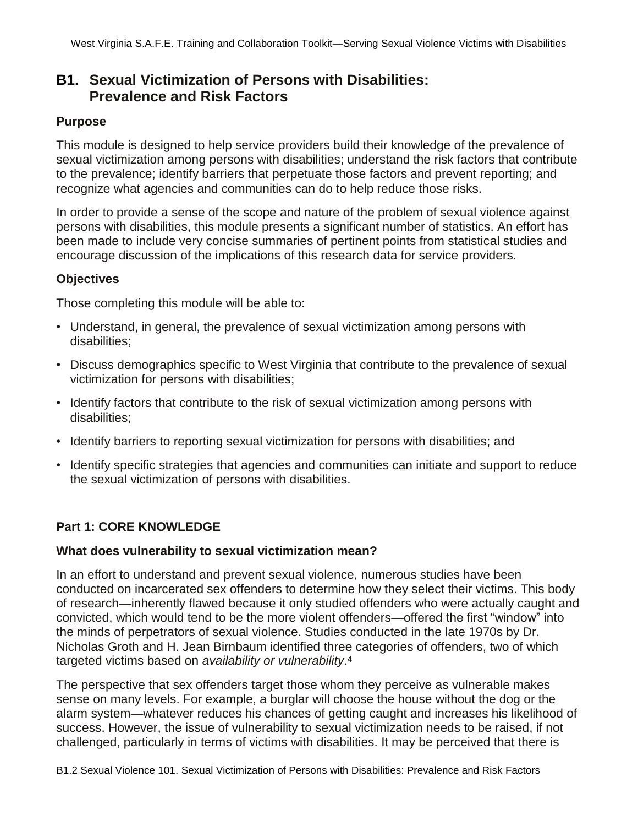## **B1. Sexual Victimization of Persons with Disabilities: Prevalence and Risk Factors**

#### **Purpose**

This module is designed to help service providers build their knowledge of the prevalence of sexual victimization among persons with disabilities; understand the risk factors that contribute to the prevalence; identify barriers that perpetuate those factors and prevent reporting; and recognize what agencies and communities can do to help reduce those risks.

In order to provide a sense of the scope and nature of the problem of sexual violence against persons with disabilities, this module presents a significant number of statistics. An effort has been made to include very concise summaries of pertinent points from statistical studies and encourage discussion of the implications of this research data for service providers.

#### **Objectives**

Those completing this module will be able to:

- Understand, in general, the prevalence of sexual victimization among persons with disabilities;
- Discuss demographics specific to West Virginia that contribute to the prevalence of sexual victimization for persons with disabilities;
- Identify factors that contribute to the risk of sexual victimization among persons with disabilities;
- Identify barriers to reporting sexual victimization for persons with disabilities; and
- Identify specific strategies that agencies and communities can initiate and support to reduce the sexual victimization of persons with disabilities.

## **Part 1: CORE KNOWLEDGE**

#### **What does vulnerability to sexual victimization mean?**

In an effort to understand and prevent sexual violence, numerous studies have been conducted on incarcerated sex offenders to determine how they select their victims. This body of research—inherently flawed because it only studied offenders who were actually caught and convicted, which would tend to be the more violent offenders—offered the first "window" into the minds of perpetrators of sexual violence. Studies conducted in the late 1970s by Dr. Nicholas Groth and H. Jean Birnbaum identified three categories of offenders, two of which targeted victims based on *availability or vulnerability*. 4

The perspective that sex offenders target those whom they perceive as vulnerable makes sense on many levels. For example, a burglar will choose the house without the dog or the alarm system—whatever reduces his chances of getting caught and increases his likelihood of success. However, the issue of vulnerability to sexual victimization needs to be raised, if not challenged, particularly in terms of victims with disabilities. It may be perceived that there is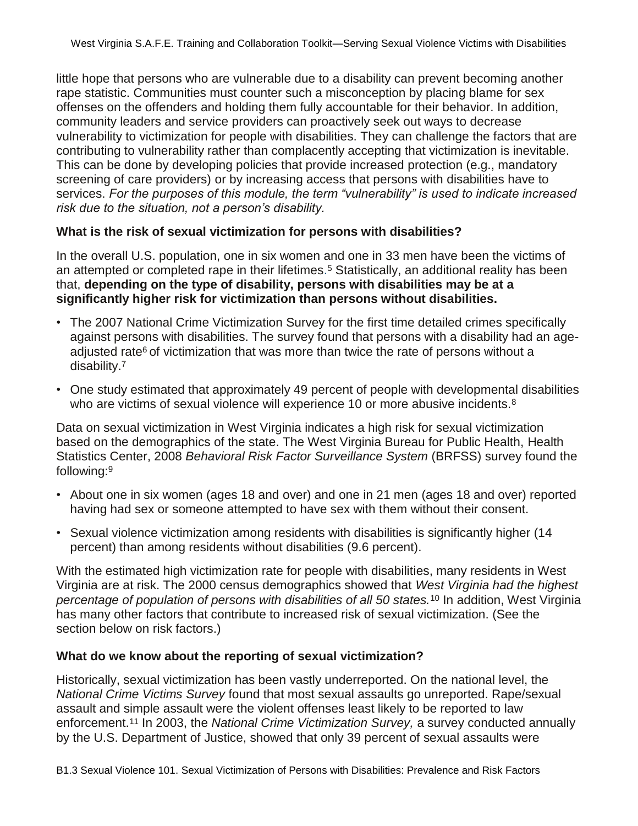little hope that persons who are vulnerable due to a disability can prevent becoming another rape statistic. Communities must counter such a misconception by placing blame for sex offenses on the offenders and holding them fully accountable for their behavior. In addition, community leaders and service providers can proactively seek out ways to decrease vulnerability to victimization for people with disabilities. They can challenge the factors that are contributing to vulnerability rather than complacently accepting that victimization is inevitable. This can be done by developing policies that provide increased protection (e.g., mandatory screening of care providers) or by increasing access that persons with disabilities have to services. *For the purposes of this module, the term "vulnerability" is used to indicate increased risk due to the situation, not a person's disability.*

#### **What is the risk of sexual victimization for persons with disabilities?**

In the overall U.S. population, one in six women and one in 33 men have been the victims of an attempted or completed rape in their lifetimes. <sup>5</sup> Statistically, an additional reality has been that, **depending on the type of disability, persons with disabilities may be at a significantly higher risk for victimization than persons without disabilities.**

- The 2007 National Crime Victimization Survey for the first time detailed crimes specifically against persons with disabilities. The survey found that persons with a disability had an ageadiusted rate<sup>6</sup> of victimization that was more than twice the rate of persons without a disability.<sup>7</sup>
- One study estimated that approximately 49 percent of people with developmental disabilities who are victims of sexual violence will experience 10 or more abusive incidents.<sup>8</sup>

Data on sexual victimization in West Virginia indicates a high risk for sexual victimization based on the demographics of the state. The West Virginia Bureau for Public Health, Health Statistics Center, 2008 *Behavioral Risk Factor Surveillance System* (BRFSS) survey found the following:<sup>9</sup>

- About one in six women (ages 18 and over) and one in 21 men (ages 18 and over) reported having had sex or someone attempted to have sex with them without their consent.
- Sexual violence victimization among residents with disabilities is significantly higher (14 percent) than among residents without disabilities (9.6 percent).

With the estimated high victimization rate for people with disabilities, many residents in West Virginia are at risk. The 2000 census demographics showed that *West Virginia had the highest percentage of population of persons with disabilities of all 50 states.*<sup>10</sup> In addition, West Virginia has many other factors that contribute to increased risk of sexual victimization. (See the section below on risk factors.)

#### **What do we know about the reporting of sexual victimization?**

Historically, sexual victimization has been vastly underreported. On the national level, the *National Crime Victims Survey* found that most sexual assaults go unreported. Rape/sexual assault and simple assault were the violent offenses least likely to be reported to law enforcement.<sup>11</sup> In 2003, the *National Crime Victimization Survey,* a survey conducted annually by the U.S. Department of Justice, showed that only 39 percent of sexual assaults were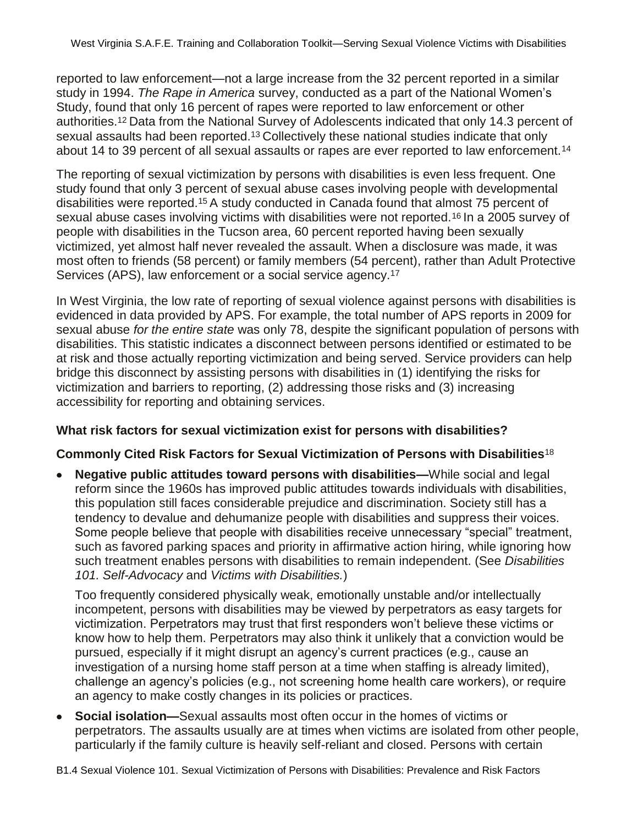reported to law enforcement—not a large increase from the 32 percent reported in a similar study in 1994. *The Rape in America* survey, conducted as a part of the National Women's Study, found that only 16 percent of rapes were reported to law enforcement or other authorities.12 Data from the National Survey of Adolescents indicated that only 14.3 percent of sexual assaults had been reported.<sup>13</sup> Collectively these national studies indicate that only about 14 to 39 percent of all sexual assaults or rapes are ever reported to law enforcement.<sup>14</sup>

The reporting of sexual victimization by persons with disabilities is even less frequent. One study found that only 3 percent of sexual abuse cases involving people with developmental disabilities were reported.15 A study conducted in Canada found that almost 75 percent of sexual abuse cases involving victims with disabilities were not reported.<sup>16</sup> In a 2005 survey of people with disabilities in the Tucson area, 60 percent reported having been sexually victimized, yet almost half never revealed the assault. When a disclosure was made, it was most often to friends (58 percent) or family members (54 percent), rather than Adult Protective Services (APS), law enforcement or a social service agency.<sup>17</sup>

In West Virginia, the low rate of reporting of sexual violence against persons with disabilities is evidenced in data provided by APS. For example, the total number of APS reports in 2009 for sexual abuse *for the entire state* was only 78, despite the significant population of persons with disabilities. This statistic indicates a disconnect between persons identified or estimated to be at risk and those actually reporting victimization and being served. Service providers can help bridge this disconnect by assisting persons with disabilities in (1) identifying the risks for victimization and barriers to reporting, (2) addressing those risks and (3) increasing accessibility for reporting and obtaining services.

#### **What risk factors for sexual victimization exist for persons with disabilities?**

#### **Commonly Cited Risk Factors for Sexual Victimization of Persons with Disabilities**<sup>18</sup>

**Negative public attitudes toward persons with disabilities—**While social and legal reform since the 1960s has improved public attitudes towards individuals with disabilities, this population still faces considerable prejudice and discrimination. Society still has a tendency to devalue and dehumanize people with disabilities and suppress their voices. Some people believe that people with disabilities receive unnecessary "special" treatment, such as favored parking spaces and priority in affirmative action hiring, while ignoring how such treatment enables persons with disabilities to remain independent. (See *Disabilities 101. Self-Advocacy* and *Victims with Disabilities.*)

Too frequently considered physically weak, emotionally unstable and/or intellectually incompetent, persons with disabilities may be viewed by perpetrators as easy targets for victimization. Perpetrators may trust that first responders won't believe these victims or know how to help them. Perpetrators may also think it unlikely that a conviction would be pursued, especially if it might disrupt an agency's current practices (e.g., cause an investigation of a nursing home staff person at a time when staffing is already limited), challenge an agency's policies (e.g., not screening home health care workers), or require an agency to make costly changes in its policies or practices.

**Social isolation—**Sexual assaults most often occur in the homes of victims or perpetrators. The assaults usually are at times when victims are isolated from other people, particularly if the family culture is heavily self-reliant and closed. Persons with certain

B1.4 Sexual Violence 101. Sexual Victimization of Persons with Disabilities: Prevalence and Risk Factors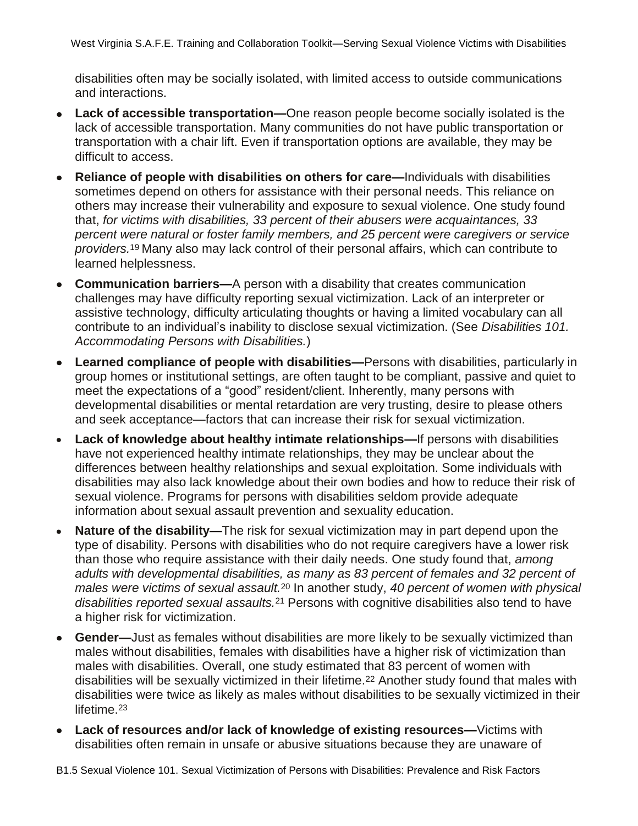disabilities often may be socially isolated, with limited access to outside communications and interactions.

- $\bullet$ **Lack of accessible transportation—**One reason people become socially isolated is the lack of accessible transportation. Many communities do not have public transportation or transportation with a chair lift. Even if transportation options are available, they may be difficult to access.
- **Reliance of people with disabilities on others for care—**Individuals with disabilities sometimes depend on others for assistance with their personal needs. This reliance on others may increase their vulnerability and exposure to sexual violence. One study found that, *for victims with disabilities, 33 percent of their abusers were acquaintances, 33 percent were natural or foster family members, and 25 percent were caregivers or service providers.*19 Many also may lack control of their personal affairs, which can contribute to learned helplessness.
- **Communication barriers—**A person with a disability that creates communication  $\bullet$ challenges may have difficulty reporting sexual victimization. Lack of an interpreter or assistive technology, difficulty articulating thoughts or having a limited vocabulary can all contribute to an individual's inability to disclose sexual victimization. (See *Disabilities 101. Accommodating Persons with Disabilities.*)
- **Learned compliance of people with disabilities—**Persons with disabilities, particularly in  $\bullet$ group homes or institutional settings, are often taught to be compliant, passive and quiet to meet the expectations of a "good" resident/client. Inherently, many persons with developmental disabilities or mental retardation are very trusting, desire to please others and seek acceptance—factors that can increase their risk for sexual victimization.
- **Lack of knowledge about healthy intimate relationships—**If persons with disabilities  $\bullet$ have not experienced healthy intimate relationships, they may be unclear about the differences between healthy relationships and sexual exploitation. Some individuals with disabilities may also lack knowledge about their own bodies and how to reduce their risk of sexual violence. Programs for persons with disabilities seldom provide adequate information about sexual assault prevention and sexuality education.
- **Nature of the disability—**The risk for sexual victimization may in part depend upon the type of disability. Persons with disabilities who do not require caregivers have a lower risk than those who require assistance with their daily needs. One study found that, *among adults with developmental disabilities, as many as 83 percent of females and 32 percent of males were victims of sexual assault.*<sup>20</sup> In another study, *40 percent of women with physical disabilities reported sexual assaults.*<sup>21</sup> Persons with cognitive disabilities also tend to have a higher risk for victimization.
- **Gender—**Just as females without disabilities are more likely to be sexually victimized than males without disabilities, females with disabilities have a higher risk of victimization than males with disabilities. Overall, one study estimated that 83 percent of women with disabilities will be sexually victimized in their lifetime.<sup>22</sup> Another study found that males with disabilities were twice as likely as males without disabilities to be sexually victimized in their lifetime.<sup>23</sup>
- **Lack of resources and/or lack of knowledge of existing resources—**Victims with  $\bullet$ disabilities often remain in unsafe or abusive situations because they are unaware of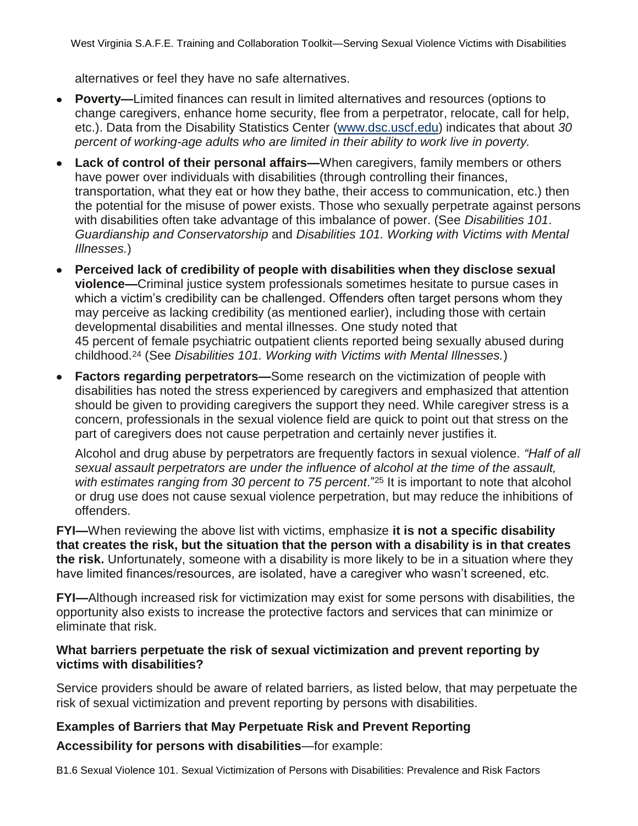alternatives or feel they have no safe alternatives.

- **Poverty—**Limited finances can result in limited alternatives and resources (options to change caregivers, enhance home security, flee from a perpetrator, relocate, call for help, etc.). Data from the Disability Statistics Center (www.dsc.uscf.edu) indicates that about *30 percent of working-age adults who are limited in their ability to work live in poverty.*
- **Lack of control of their personal affairs—**When caregivers, family members or others have power over individuals with disabilities (through controlling their finances, transportation, what they eat or how they bathe, their access to communication, etc.) then the potential for the misuse of power exists. Those who sexually perpetrate against persons with disabilities often take advantage of this imbalance of power. (See *Disabilities 101*. *Guardianship and Conservatorship* and *Disabilities 101. Working with Victims with Mental Illnesses.*)
- **Perceived lack of credibility of people with disabilities when they disclose sexual violence—**Criminal justice system professionals sometimes hesitate to pursue cases in which a victim's credibility can be challenged. Offenders often target persons whom they may perceive as lacking credibility (as mentioned earlier), including those with certain developmental disabilities and mental illnesses. One study noted that 45 percent of female psychiatric outpatient clients reported being sexually abused during childhood.<sup>24</sup> (See *Disabilities 101. Working with Victims with Mental Illnesses.*)
- **Factors regarding perpetrators—**Some research on the victimization of people with disabilities has noted the stress experienced by caregivers and emphasized that attention should be given to providing caregivers the support they need. While caregiver stress is a concern, professionals in the sexual violence field are quick to point out that stress on the part of caregivers does not cause perpetration and certainly never justifies it.

Alcohol and drug abuse by perpetrators are frequently factors in sexual violence. *"Half of all sexual assault perpetrators are under the influence of alcohol at the time of the assault, with estimates ranging from 30 percent to 75 percent*."<sup>25</sup> It is important to note that alcohol or drug use does not cause sexual violence perpetration, but may reduce the inhibitions of offenders.

**FYI—**When reviewing the above list with victims, emphasize **it is not a specific disability that creates the risk, but the situation that the person with a disability is in that creates the risk.** Unfortunately, someone with a disability is more likely to be in a situation where they have limited finances/resources, are isolated, have a caregiver who wasn't screened, etc.

**FYI—**Although increased risk for victimization may exist for some persons with disabilities, the opportunity also exists to increase the protective factors and services that can minimize or eliminate that risk.

#### **What barriers perpetuate the risk of sexual victimization and prevent reporting by victims with disabilities?**

Service providers should be aware of related barriers, as listed below, that may perpetuate the risk of sexual victimization and prevent reporting by persons with disabilities.

## **Examples of Barriers that May Perpetuate Risk and Prevent Reporting**

**Accessibility for persons with disabilities**—for example:

B1.6 Sexual Violence 101. Sexual Victimization of Persons with Disabilities: Prevalence and Risk Factors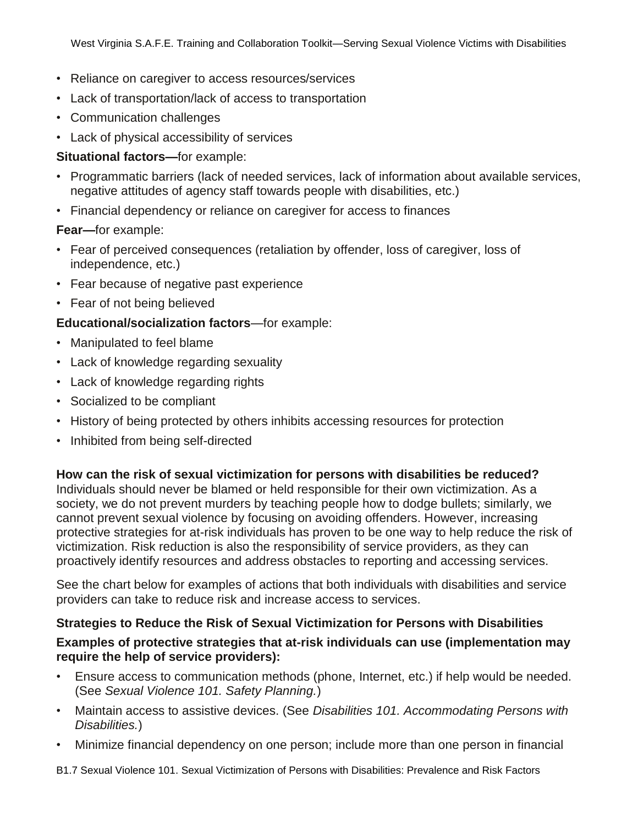- Reliance on caregiver to access resources/services
- Lack of transportation/lack of access to transportation
- Communication challenges
- Lack of physical accessibility of services

### **Situational factors—**for example:

- Programmatic barriers (lack of needed services, lack of information about available services, negative attitudes of agency staff towards people with disabilities, etc.)
- Financial dependency or reliance on caregiver for access to finances

## **Fear—**for example:

- Fear of perceived consequences (retaliation by offender, loss of caregiver, loss of independence, etc.)
- Fear because of negative past experience
- Fear of not being believed

## **Educational/socialization factors**—for example:

- Manipulated to feel blame
- Lack of knowledge regarding sexuality
- Lack of knowledge regarding rights
- Socialized to be compliant
- History of being protected by others inhibits accessing resources for protection
- Inhibited from being self-directed

#### **How can the risk of sexual victimization for persons with disabilities be reduced?**

Individuals should never be blamed or held responsible for their own victimization. As a society, we do not prevent murders by teaching people how to dodge bullets; similarly, we cannot prevent sexual violence by focusing on avoiding offenders. However, increasing protective strategies for at-risk individuals has proven to be one way to help reduce the risk of victimization. Risk reduction is also the responsibility of service providers, as they can proactively identify resources and address obstacles to reporting and accessing services.

See the chart below for examples of actions that both individuals with disabilities and service providers can take to reduce risk and increase access to services.

## **Strategies to Reduce the Risk of Sexual Victimization for Persons with Disabilities**

#### **Examples of protective strategies that at-risk individuals can use (implementation may require the help of service providers):**

- Ensure access to communication methods (phone, Internet, etc.) if help would be needed. (See *Sexual Violence 101. Safety Planning.*)
- Maintain access to assistive devices. (See *Disabilities 101. Accommodating Persons with Disabilities.*)
- Minimize financial dependency on one person; include more than one person in financial

B1.7 Sexual Violence 101. Sexual Victimization of Persons with Disabilities: Prevalence and Risk Factors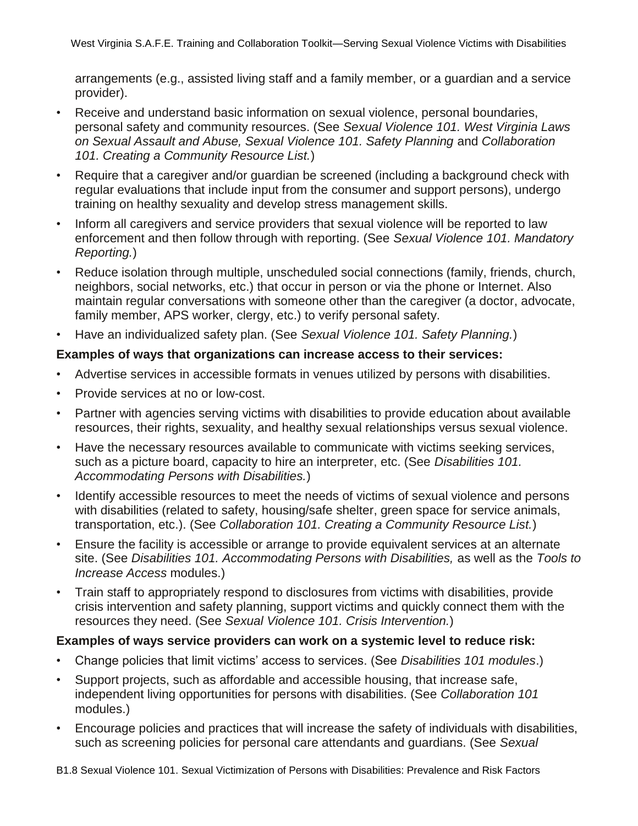arrangements (e.g., assisted living staff and a family member, or a guardian and a service provider).

- Receive and understand basic information on sexual violence, personal boundaries, personal safety and community resources. (See *Sexual Violence 101. West Virginia Laws on Sexual Assault and Abuse, Sexual Violence 101. Safety Planning* and *Collaboration 101. Creating a Community Resource List.*)
- Require that a caregiver and/or guardian be screened (including a background check with regular evaluations that include input from the consumer and support persons), undergo training on healthy sexuality and develop stress management skills.
- Inform all caregivers and service providers that sexual violence will be reported to law enforcement and then follow through with reporting. (See *Sexual Violence 101. Mandatory Reporting.*)
- Reduce isolation through multiple, unscheduled social connections (family, friends, church, neighbors, social networks, etc.) that occur in person or via the phone or Internet. Also maintain regular conversations with someone other than the caregiver (a doctor, advocate, family member, APS worker, clergy, etc.) to verify personal safety.
- Have an individualized safety plan. (See *Sexual Violence 101. Safety Planning.*)

#### **Examples of ways that organizations can increase access to their services:**

- Advertise services in accessible formats in venues utilized by persons with disabilities.
- Provide services at no or low-cost.
- Partner with agencies serving victims with disabilities to provide education about available resources, their rights, sexuality, and healthy sexual relationships versus sexual violence.
- Have the necessary resources available to communicate with victims seeking services, such as a picture board, capacity to hire an interpreter, etc. (See *Disabilities 101. Accommodating Persons with Disabilities.*)
- Identify accessible resources to meet the needs of victims of sexual violence and persons with disabilities (related to safety, housing/safe shelter, green space for service animals, transportation, etc.). (See *Collaboration 101. Creating a Community Resource List.*)
- Ensure the facility is accessible or arrange to provide equivalent services at an alternate site. (See *Disabilities 101. Accommodating Persons with Disabilities,* as well as the *Tools to Increase Access* modules.)
- Train staff to appropriately respond to disclosures from victims with disabilities, provide crisis intervention and safety planning, support victims and quickly connect them with the resources they need. (See *Sexual Violence 101. Crisis Intervention.*)

## **Examples of ways service providers can work on a systemic level to reduce risk:**

- Change policies that limit victims' access to services. (See *Disabilities 101 modules*.)
- Support projects, such as affordable and accessible housing, that increase safe, independent living opportunities for persons with disabilities. (See *Collaboration 101*  modules.)
- Encourage policies and practices that will increase the safety of individuals with disabilities, such as screening policies for personal care attendants and guardians. (See *Sexual*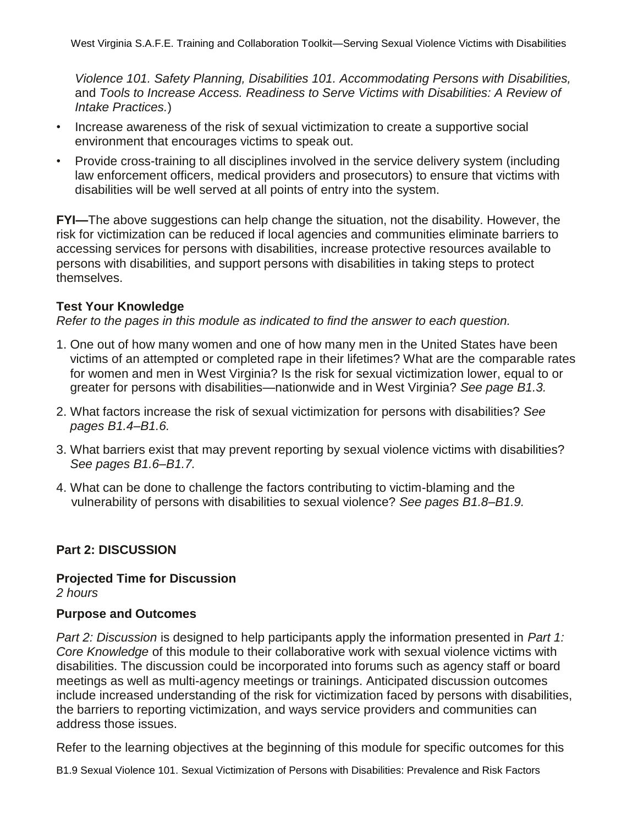*Violence 101. Safety Planning, Disabilities 101. Accommodating Persons with Disabilities,*  and *Tools to Increase Access. Readiness to Serve Victims with Disabilities: A Review of Intake Practices.*)

- Increase awareness of the risk of sexual victimization to create a supportive social environment that encourages victims to speak out.
- Provide cross-training to all disciplines involved in the service delivery system (including law enforcement officers, medical providers and prosecutors) to ensure that victims with disabilities will be well served at all points of entry into the system.

**FYI—**The above suggestions can help change the situation, not the disability. However, the risk for victimization can be reduced if local agencies and communities eliminate barriers to accessing services for persons with disabilities, increase protective resources available to persons with disabilities, and support persons with disabilities in taking steps to protect themselves.

#### **Test Your Knowledge**

*Refer to the pages in this module as indicated to find the answer to each question.* 

- 1. One out of how many women and one of how many men in the United States have been victims of an attempted or completed rape in their lifetimes? What are the comparable rates for women and men in West Virginia? Is the risk for sexual victimization lower, equal to or greater for persons with disabilities—nationwide and in West Virginia? *See page B1.3.*
- 2. What factors increase the risk of sexual victimization for persons with disabilities? *See pages B1.4–B1.6.*
- 3. What barriers exist that may prevent reporting by sexual violence victims with disabilities? *See pages B1.6–B1.7.*
- 4. What can be done to challenge the factors contributing to victim-blaming and the vulnerability of persons with disabilities to sexual violence? *See pages B1.8–B1.9.*

## **Part 2: DISCUSSION**

**Projected Time for Discussion** *2 hours*

#### **Purpose and Outcomes**

*Part 2: Discussion* is designed to help participants apply the information presented in *Part 1: Core Knowledge* of this module to their collaborative work with sexual violence victims with disabilities. The discussion could be incorporated into forums such as agency staff or board meetings as well as multi-agency meetings or trainings. Anticipated discussion outcomes include increased understanding of the risk for victimization faced by persons with disabilities, the barriers to reporting victimization, and ways service providers and communities can address those issues.

Refer to the learning objectives at the beginning of this module for specific outcomes for this

B1.9 Sexual Violence 101. Sexual Victimization of Persons with Disabilities: Prevalence and Risk Factors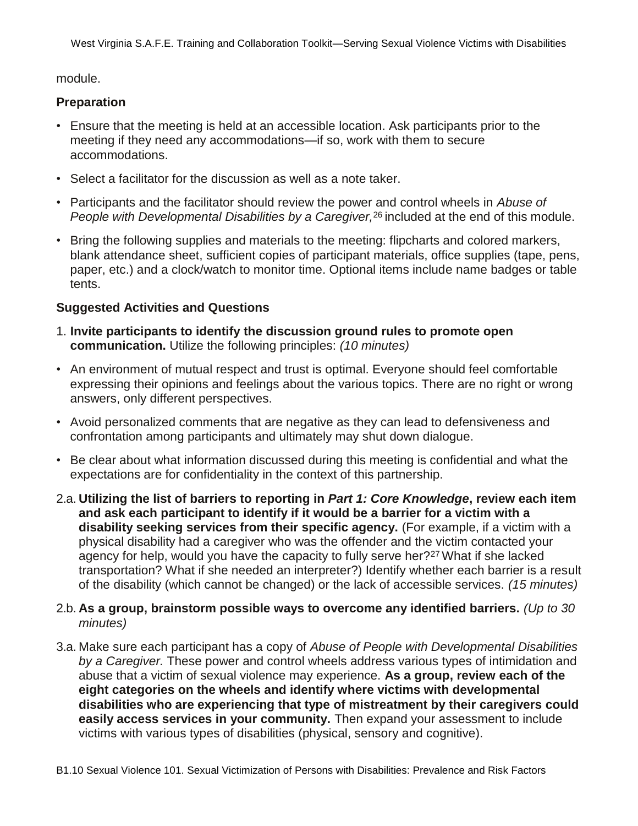module.

## **Preparation**

- Ensure that the meeting is held at an accessible location. Ask participants prior to the meeting if they need any accommodations—if so, work with them to secure accommodations.
- Select a facilitator for the discussion as well as a note taker.
- Participants and the facilitator should review the power and control wheels in *Abuse of People with Developmental Disabilities by a Caregiver,*26 included at the end of this module.
- Bring the following supplies and materials to the meeting: flipcharts and colored markers, blank attendance sheet, sufficient copies of participant materials, office supplies (tape, pens, paper, etc.) and a clock/watch to monitor time. Optional items include name badges or table tents.

## **Suggested Activities and Questions**

- 1. **Invite participants to identify the discussion ground rules to promote open communication.** Utilize the following principles: *(10 minutes)*
- An environment of mutual respect and trust is optimal. Everyone should feel comfortable expressing their opinions and feelings about the various topics. There are no right or wrong answers, only different perspectives.
- Avoid personalized comments that are negative as they can lead to defensiveness and confrontation among participants and ultimately may shut down dialogue.
- Be clear about what information discussed during this meeting is confidential and what the expectations are for confidentiality in the context of this partnership.
- 2.a. **Utilizing the list of barriers to reporting in** *Part 1: Core Knowledge***, review each item and ask each participant to identify if it would be a barrier for a victim with a disability seeking services from their specific agency.** (For example, if a victim with a physical disability had a caregiver who was the offender and the victim contacted your agency for help, would you have the capacity to fully serve her?27 What if she lacked transportation? What if she needed an interpreter?) Identify whether each barrier is a result of the disability (which cannot be changed) or the lack of accessible services. *(15 minutes)*
- 2.b. **As a group, brainstorm possible ways to overcome any identified barriers.** *(Up to 30 minutes)*
- 3.a. Make sure each participant has a copy of *Abuse of People with Developmental Disabilities by a Caregiver.* These power and control wheels address various types of intimidation and abuse that a victim of sexual violence may experience. **As a group, review each of the eight categories on the wheels and identify where victims with developmental disabilities who are experiencing that type of mistreatment by their caregivers could easily access services in your community.** Then expand your assessment to include victims with various types of disabilities (physical, sensory and cognitive).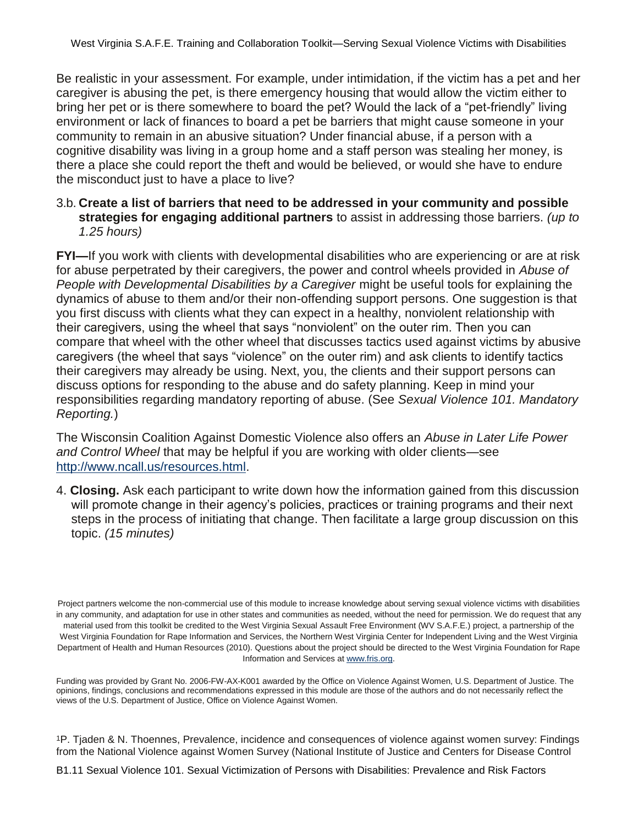Be realistic in your assessment. For example, under intimidation, if the victim has a pet and her caregiver is abusing the pet, is there emergency housing that would allow the victim either to bring her pet or is there somewhere to board the pet? Would the lack of a "pet-friendly" living environment or lack of finances to board a pet be barriers that might cause someone in your community to remain in an abusive situation? Under financial abuse, if a person with a cognitive disability was living in a group home and a staff person was stealing her money, is there a place she could report the theft and would be believed, or would she have to endure the misconduct just to have a place to live?

#### 3.b. **Create a list of barriers that need to be addressed in your community and possible strategies for engaging additional partners** to assist in addressing those barriers. *(up to 1.25 hours)*

**FYI—**If you work with clients with developmental disabilities who are experiencing or are at risk for abuse perpetrated by their caregivers, the power and control wheels provided in *Abuse of People with Developmental Disabilities by a Caregiver* might be useful tools for explaining the dynamics of abuse to them and/or their non-offending support persons. One suggestion is that you first discuss with clients what they can expect in a healthy, nonviolent relationship with their caregivers, using the wheel that says "nonviolent" on the outer rim. Then you can compare that wheel with the other wheel that discusses tactics used against victims by abusive caregivers (the wheel that says "violence" on the outer rim) and ask clients to identify tactics their caregivers may already be using. Next, you, the clients and their support persons can discuss options for responding to the abuse and do safety planning. Keep in mind your responsibilities regarding mandatory reporting of abuse. (See *Sexual Violence 101. Mandatory Reporting.*)

The Wisconsin Coalition Against Domestic Violence also offers an *Abuse in Later Life Power and Control Wheel* that may be helpful if you are working with older clients—see http://www.ncall.us/resources.html.

4. **Closing.** Ask each participant to write down how the information gained from this discussion will promote change in their agency's policies, practices or training programs and their next steps in the process of initiating that change. Then facilitate a large group discussion on this topic. *(15 minutes)*

Project partners welcome the non-commercial use of this module to increase knowledge about serving sexual violence victims with disabilities in any community, and adaptation for use in other states and communities as needed, without the need for permission. We do request that any material used from this toolkit be credited to the West Virginia Sexual Assault Free Environment (WV S.A.F.E.) project, a partnership of the West Virginia Foundation for Rape Information and Services, the Northern West Virginia Center for Independent Living and the West Virginia Department of Health and Human Resources (2010). Questions about the project should be directed to the West Virginia Foundation for Rape Information and Services at www.fris.org.

Funding was provided by Grant No. 2006-FW-AX-K001 awarded by the Office on Violence Against Women, U.S. Department of Justice. The opinions, findings, conclusions and recommendations expressed in this module are those of the authors and do not necessarily reflect the views of the U.S. Department of Justice, Office on Violence Against Women.

<sup>1</sup>P. Tjaden & N. Thoennes, Prevalence, incidence and consequences of violence against women survey: Findings from the National Violence against Women Survey (National Institute of Justice and Centers for Disease Control

B1.11 Sexual Violence 101. Sexual Victimization of Persons with Disabilities: Prevalence and Risk Factors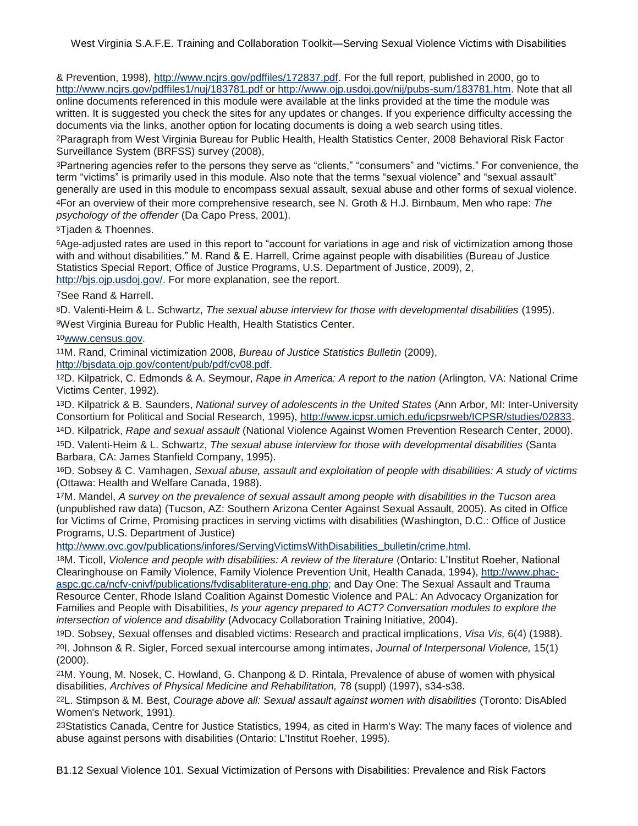& Prevention, 1998), http://www.ncjrs.gov/pdffiles/172837.pdf. For the full report, published in 2000, go to http://www.ncjrs.gov/pdffiles1/nuj/183781.pdf or http://www.ojp.usdoj.gov/nij/pubs-sum/183781.htm. Note that all online documents referenced in this module were available at the links provided at the time the module was written. It is suggested you check the sites for any updates or changes. If you experience difficulty accessing the documents via the links, another option for locating documents is doing a web search using titles.

<sup>2</sup>Paragraph from West Virginia Bureau for Public Health, Health Statistics Center, 2008 Behavioral Risk Factor Surveillance System (BRFSS) survey (2008),

<sup>3</sup>Partnering agencies refer to the persons they serve as "clients," "consumers" and "victims." For convenience, the term "victims" is primarily used in this module. Also note that the terms "sexual violence" and "sexual assault" generally are used in this module to encompass sexual assault, sexual abuse and other forms of sexual violence. <sup>4</sup>For an overview of their more comprehensive research, see N. Groth & H.J. Birnbaum, Men who rape: *The psychology of the offender* (Da Capo Press, 2001).

<sup>5</sup>Tjaden & Thoennes.

<sup>6</sup>Age-adjusted rates are used in this report to "account for variations in age and risk of victimization among those with and without disabilities." M. Rand & E. Harrell, Crime against people with disabilities (Bureau of Justice Statistics Special Report, Office of Justice Programs, U.S. Department of Justice, 2009), 2, http://bjs.ojp.usdoj.gov/. For more explanation, see the report.

#### <sup>7</sup>See Rand & Harrell.

<sup>8</sup>D. Valenti-Heim & L. Schwartz, *The sexual abuse interview for those with developmental disabilities* (1995). 9West Virginia Bureau for Public Health, Health Statistics Center.

<sup>10</sup>www.census.gov.

<sup>11</sup>M. Rand, Criminal victimization 2008, *Bureau of Justice Statistics Bulletin* (2009),

http://bjsdata.ojp.gov/content/pub/pdf/cv08.pdf.

<sup>12</sup>D. Kilpatrick, C. Edmonds & A. Seymour, *Rape in America: A report to the nation* (Arlington, VA: National Crime Victims Center, 1992).

<sup>13</sup>D. Kilpatrick & B. Saunders, *National survey of adolescents in the United States* (Ann Arbor, MI: Inter-University Consortium for Political and Social Research, 1995), http://www.icpsr.umich.edu/icpsrweb/ICPSR/studies/02833.

<sup>14</sup>D. Kilpatrick, *Rape and sexual assault* (National Violence Against Women Prevention Research Center, 2000).

<sup>15</sup>D. Valenti-Heim & L. Schwartz, *The sexual abuse interview for those with developmental disabilities* (Santa Barbara, CA: James Stanfield Company, 1995).

<sup>16</sup>D. Sobsey & C. Vamhagen, *Sexual abuse, assault and exploitation of people with disabilities: A study of victims* (Ottawa: Health and Welfare Canada, 1988).

<sup>17</sup>M. Mandel, *A survey on the prevalence of sexual assault among people with disabilities in the Tucson area*  (unpublished raw data) (Tucson, AZ: Southern Arizona Center Against Sexual Assault, 2005). As cited in Office for Victims of Crime, Promising practices in serving victims with disabilities (Washington, D.C.: Office of Justice Programs, U.S. Department of Justice)

http://www.ovc.gov/publications/infores/ServingVictimsWithDisabilities\_bulletin/crime.html.

<sup>18</sup>M. Ticoll, *Violence and people with disabilities: A review of the literature* (Ontario: L'Institut Roeher, National Clearinghouse on Family Violence, Family Violence Prevention Unit, Health Canada, 1994), http://www.phacaspc.gc.ca/ncfv-cnivf/publications/fvdisabliterature-eng.php; and Day One: The Sexual Assault and Trauma Resource Center, Rhode Island Coalition Against Domestic Violence and PAL: An Advocacy Organization for Families and People with Disabilities, *Is your agency prepared to ACT? Conversation modules to explore the intersection of violence and disability* (Advocacy Collaboration Training Initiative, 2004).

<sup>19</sup>D. Sobsey, Sexual offenses and disabled victims: Research and practical implications, *Visa Vis,* 6(4) (1988). <sup>20</sup>I. Johnson & R. Sigler, Forced sexual intercourse among intimates, *Journal of Interpersonal Violence,* 15(1) (2000).

<sup>21</sup>M. Young, M. Nosek, C. Howland, G. Chanpong & D. Rintala, Prevalence of abuse of women with physical disabilities, *Archives of Physical Medicine and Rehabilitation,* 78 (suppl) (1997), s34-s38.

<sup>22</sup>L. Stimpson & M. Best, *Courage above all: Sexual assault against women with disabilities* (Toronto: DisAbled Women's Network, 1991).

23Statistics Canada, Centre for Justice Statistics, 1994, as cited in Harm's Way: The many faces of violence and abuse against persons with disabilities (Ontario: L'Institut Roeher, 1995).

B1.12 Sexual Violence 101. Sexual Victimization of Persons with Disabilities: Prevalence and Risk Factors